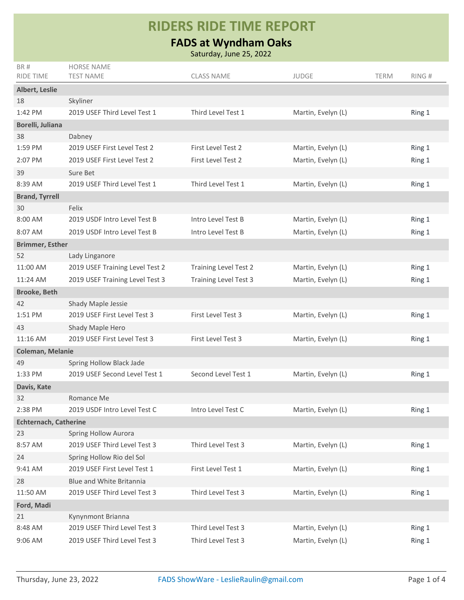## **RIDERS RIDE TIME REPORT**

## **FADS at Wyndham Oaks**

Saturday, June 25, 2022

| BR#                          | <b>HORSE NAME</b>               |                              |                    |             |        |
|------------------------------|---------------------------------|------------------------------|--------------------|-------------|--------|
| <b>RIDE TIME</b>             | <b>TEST NAME</b>                | <b>CLASS NAME</b>            | <b>JUDGE</b>       | <b>TERM</b> | RING#  |
| Albert, Leslie               |                                 |                              |                    |             |        |
| 18                           | Skyliner                        |                              |                    |             |        |
| 1:42 PM                      | 2019 USEF Third Level Test 1    | Third Level Test 1           | Martin, Evelyn (L) |             | Ring 1 |
| Borelli, Juliana             |                                 |                              |                    |             |        |
| 38                           | Dabney                          |                              |                    |             |        |
| 1:59 PM                      | 2019 USEF First Level Test 2    | First Level Test 2           | Martin, Evelyn (L) |             | Ring 1 |
| 2:07 PM                      | 2019 USEF First Level Test 2    | First Level Test 2           | Martin, Evelyn (L) |             | Ring 1 |
| 39                           | Sure Bet                        |                              |                    |             |        |
| 8:39 AM                      | 2019 USEF Third Level Test 1    | Third Level Test 1           | Martin, Evelyn (L) |             | Ring 1 |
| <b>Brand, Tyrrell</b>        |                                 |                              |                    |             |        |
| 30                           | Felix                           |                              |                    |             |        |
| 8:00 AM                      | 2019 USDF Intro Level Test B    | Intro Level Test B           | Martin, Evelyn (L) |             | Ring 1 |
| 8:07 AM                      | 2019 USDF Intro Level Test B    | Intro Level Test B           | Martin, Evelyn (L) |             | Ring 1 |
| <b>Brimmer, Esther</b>       |                                 |                              |                    |             |        |
| 52                           | Lady Linganore                  |                              |                    |             |        |
| 11:00 AM                     | 2019 USEF Training Level Test 2 | <b>Training Level Test 2</b> | Martin, Evelyn (L) |             | Ring 1 |
| 11:24 AM                     | 2019 USEF Training Level Test 3 | <b>Training Level Test 3</b> | Martin, Evelyn (L) |             | Ring 1 |
| <b>Brooke, Beth</b>          |                                 |                              |                    |             |        |
| 42                           | Shady Maple Jessie              |                              |                    |             |        |
| 1:51 PM                      | 2019 USEF First Level Test 3    | First Level Test 3           | Martin, Evelyn (L) |             | Ring 1 |
| 43                           | Shady Maple Hero                |                              |                    |             |        |
| 11:16 AM                     | 2019 USEF First Level Test 3    | <b>First Level Test 3</b>    | Martin, Evelyn (L) |             | Ring 1 |
| Coleman, Melanie             |                                 |                              |                    |             |        |
| 49                           | Spring Hollow Black Jade        |                              |                    |             |        |
| 1:33 PM                      | 2019 USEF Second Level Test 1   | Second Level Test 1          | Martin, Evelyn (L) |             | Ring 1 |
| Davis, Kate                  |                                 |                              |                    |             |        |
| 32                           | Romance Me                      |                              |                    |             |        |
| 2:38 PM                      | 2019 USDF Intro Level Test C    | Intro Level Test C           | Martin, Evelyn (L) |             | Ring 1 |
| <b>Echternach, Catherine</b> |                                 |                              |                    |             |        |
| 23                           | <b>Spring Hollow Aurora</b>     |                              |                    |             |        |
| 8:57 AM                      | 2019 USEF Third Level Test 3    | Third Level Test 3           | Martin, Evelyn (L) |             | Ring 1 |
| 24                           | Spring Hollow Rio del Sol       |                              |                    |             |        |
| 9:41 AM                      | 2019 USEF First Level Test 1    | First Level Test 1           | Martin, Evelyn (L) |             | Ring 1 |
| 28                           | Blue and White Britannia        |                              |                    |             |        |
| 11:50 AM                     | 2019 USEF Third Level Test 3    | Third Level Test 3           | Martin, Evelyn (L) |             | Ring 1 |
| Ford, Madi                   |                                 |                              |                    |             |        |
| 21                           | Kynynmont Brianna               |                              |                    |             |        |
| 8:48 AM                      | 2019 USEF Third Level Test 3    | Third Level Test 3           | Martin, Evelyn (L) |             | Ring 1 |
| 9:06 AM                      | 2019 USEF Third Level Test 3    | Third Level Test 3           | Martin, Evelyn (L) |             | Ring 1 |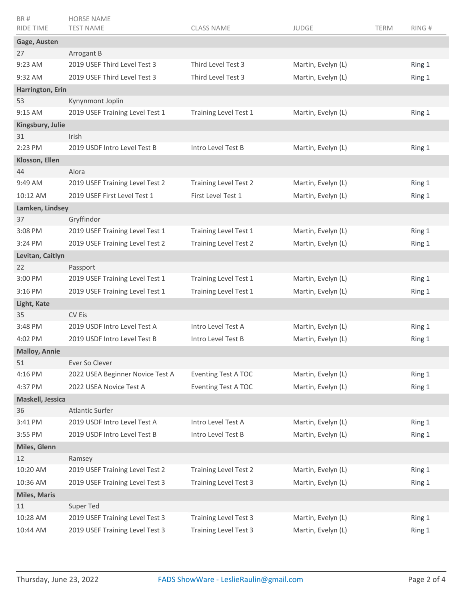| BR#<br><b>RIDE TIME</b>   | <b>HORSE NAME</b><br><b>TEST NAME</b>      | <b>CLASS NAME</b>            | <b>JUDGE</b>       | <b>TERM</b> | RING#  |
|---------------------------|--------------------------------------------|------------------------------|--------------------|-------------|--------|
|                           |                                            |                              |                    |             |        |
| Gage, Austen              |                                            |                              |                    |             |        |
| 27<br>$9:23$ AM           | Arrogant B<br>2019 USEF Third Level Test 3 | Third Level Test 3           | Martin, Evelyn (L) |             | Ring 1 |
|                           |                                            |                              |                    |             |        |
| 9:32 AM                   | 2019 USEF Third Level Test 3               | Third Level Test 3           | Martin, Evelyn (L) |             | Ring 1 |
| Harrington, Erin          | Kynynmont Joplin                           |                              |                    |             |        |
| 53<br>9:15 AM             | 2019 USEF Training Level Test 1            | Training Level Test 1        | Martin, Evelyn (L) |             | Ring 1 |
|                           |                                            |                              |                    |             |        |
| Kingsbury, Julie<br>31    | <b>Irish</b>                               |                              |                    |             |        |
| $2:23$ PM                 | 2019 USDF Intro Level Test B               | Intro Level Test B           | Martin, Evelyn (L) |             | Ring 1 |
| Klosson, Ellen            |                                            |                              |                    |             |        |
| 44                        | Alora                                      |                              |                    |             |        |
| 9:49 AM                   | 2019 USEF Training Level Test 2            | <b>Training Level Test 2</b> | Martin, Evelyn (L) |             | Ring 1 |
| 10:12 AM                  | 2019 USEF First Level Test 1               | First Level Test 1           | Martin, Evelyn (L) |             | Ring 1 |
| Lamken, Lindsey           |                                            |                              |                    |             |        |
| 37                        | Gryffindor                                 |                              |                    |             |        |
| 3:08 PM                   | 2019 USEF Training Level Test 1            | Training Level Test 1        | Martin, Evelyn (L) |             | Ring 1 |
| 3:24 PM                   | 2019 USEF Training Level Test 2            | <b>Training Level Test 2</b> | Martin, Evelyn (L) |             | Ring 1 |
| Levitan, Caitlyn          |                                            |                              |                    |             |        |
| 22                        | Passport                                   |                              |                    |             |        |
| 3:00 PM                   | 2019 USEF Training Level Test 1            | Training Level Test 1        | Martin, Evelyn (L) |             | Ring 1 |
| 3:16 PM                   | 2019 USEF Training Level Test 1            | Training Level Test 1        | Martin, Evelyn (L) |             | Ring 1 |
|                           |                                            |                              |                    |             |        |
| Light, Kate<br>35         | CV Eis                                     |                              |                    |             |        |
| 3:48 PM                   | 2019 USDF Intro Level Test A               | Intro Level Test A           | Martin, Evelyn (L) |             | Ring 1 |
| 4:02 PM                   | 2019 USDF Intro Level Test B               | Intro Level Test B           | Martin, Evelyn (L) |             | Ring 1 |
| <b>Malloy, Annie</b>      |                                            |                              |                    |             |        |
| 51                        | Ever So Clever                             |                              |                    |             |        |
| 4:16 PM                   | 2022 USEA Beginner Novice Test A           | <b>Eventing Test A TOC</b>   | Martin, Evelyn (L) |             | Ring 1 |
| 4:37 PM                   | 2022 USEA Novice Test A                    | <b>Eventing Test A TOC</b>   | Martin, Evelyn (L) |             | Ring 1 |
| Maskell, Jessica          |                                            |                              |                    |             |        |
| 36                        | <b>Atlantic Surfer</b>                     |                              |                    |             |        |
| 3:41 PM                   | 2019 USDF Intro Level Test A               | Intro Level Test A           | Martin, Evelyn (L) |             | Ring 1 |
| 3:55 PM                   | 2019 USDF Intro Level Test B               | Intro Level Test B           | Martin, Evelyn (L) |             | Ring 1 |
| Miles, Glenn              |                                            |                              |                    |             |        |
| $12 \overline{ }$         | Ramsey                                     |                              |                    |             |        |
| 10:20 AM                  | 2019 USEF Training Level Test 2            | <b>Training Level Test 2</b> | Martin, Evelyn (L) |             | Ring 1 |
| 10:36 AM                  | 2019 USEF Training Level Test 3            | <b>Training Level Test 3</b> | Martin, Evelyn (L) |             | Ring 1 |
|                           |                                            |                              |                    |             |        |
| <b>Miles, Maris</b><br>11 | Super Ted                                  |                              |                    |             |        |
| 10:28 AM                  | 2019 USEF Training Level Test 3            | <b>Training Level Test 3</b> | Martin, Evelyn (L) |             | Ring 1 |
|                           | 2019 USEF Training Level Test 3            | <b>Training Level Test 3</b> | Martin, Evelyn (L) |             |        |
| 10:44 AM                  |                                            |                              |                    |             | Ring 1 |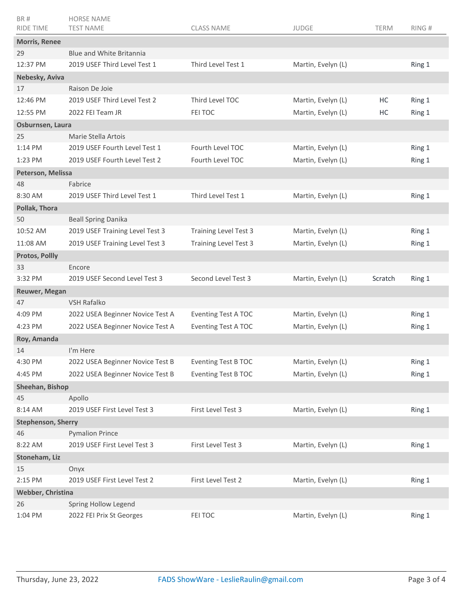| BR#<br>RIDE TIME          | <b>HORSE NAME</b><br><b>TEST NAME</b>                    | <b>CLASS NAME</b>            | <b>JUDGE</b>       | <b>TERM</b> | RING#  |  |  |
|---------------------------|----------------------------------------------------------|------------------------------|--------------------|-------------|--------|--|--|
|                           |                                                          |                              |                    |             |        |  |  |
| <b>Morris, Renee</b>      |                                                          |                              |                    |             |        |  |  |
| 29<br>12:37 PM            | Blue and White Britannia<br>2019 USEF Third Level Test 1 | Third Level Test 1           |                    |             |        |  |  |
|                           |                                                          |                              | Martin, Evelyn (L) |             | Ring 1 |  |  |
| Nebesky, Aviva            |                                                          |                              |                    |             |        |  |  |
| 17<br>12:46 PM            | Raison De Joie<br>2019 USEF Third Level Test 2           | Third Level TOC              |                    |             |        |  |  |
|                           |                                                          |                              | Martin, Evelyn (L) | HC          | Ring 1 |  |  |
| 12:55 PM                  | 2022 FEI Team JR                                         | FEI TOC                      | Martin, Evelyn (L) | HC          | Ring 1 |  |  |
| Osburnsen, Laura          |                                                          |                              |                    |             |        |  |  |
| 25                        | Marie Stella Artois                                      |                              |                    |             |        |  |  |
| $1:14$ PM                 | 2019 USEF Fourth Level Test 1                            | Fourth Level TOC             | Martin, Evelyn (L) |             | Ring 1 |  |  |
| $1:23$ PM                 | 2019 USEF Fourth Level Test 2                            | Fourth Level TOC             | Martin, Evelyn (L) |             | Ring 1 |  |  |
| Peterson, Melissa         |                                                          |                              |                    |             |        |  |  |
| 48                        | Fabrice                                                  |                              |                    |             |        |  |  |
| 8:30 AM                   | 2019 USEF Third Level Test 1                             | Third Level Test 1           | Martin, Evelyn (L) |             | Ring 1 |  |  |
| Pollak, Thora             |                                                          |                              |                    |             |        |  |  |
| 50                        | <b>Beall Spring Danika</b>                               |                              |                    |             |        |  |  |
| 10:52 AM                  | 2019 USEF Training Level Test 3                          | <b>Training Level Test 3</b> | Martin, Evelyn (L) |             | Ring 1 |  |  |
| 11:08 AM                  | 2019 USEF Training Level Test 3                          | <b>Training Level Test 3</b> | Martin, Evelyn (L) |             | Ring 1 |  |  |
| <b>Protos, Pollly</b>     |                                                          |                              |                    |             |        |  |  |
| 33                        | Encore                                                   |                              |                    |             |        |  |  |
| 3:32 PM                   | 2019 USEF Second Level Test 3                            | Second Level Test 3          | Martin, Evelyn (L) | Scratch     | Ring 1 |  |  |
| Reuwer, Megan             |                                                          |                              |                    |             |        |  |  |
| 47                        | VSH Rafalko                                              |                              |                    |             |        |  |  |
| 4:09 PM                   | 2022 USEA Beginner Novice Test A                         | <b>Eventing Test A TOC</b>   | Martin, Evelyn (L) |             | Ring 1 |  |  |
| 4:23 PM                   | 2022 USEA Beginner Novice Test A                         | <b>Eventing Test A TOC</b>   | Martin, Evelyn (L) |             | Ring 1 |  |  |
| Roy, Amanda               |                                                          |                              |                    |             |        |  |  |
| 14                        | I'm Here                                                 |                              |                    |             |        |  |  |
| 4:30 PM                   | 2022 USEA Beginner Novice Test B                         | <b>Eventing Test B TOC</b>   | Martin, Evelyn (L) |             | Ring 1 |  |  |
| 4:45 PM                   | 2022 USEA Beginner Novice Test B                         | <b>Eventing Test B TOC</b>   | Martin, Evelyn (L) |             | Ring 1 |  |  |
| Sheehan, Bishop           |                                                          |                              |                    |             |        |  |  |
| 45                        | Apollo                                                   |                              |                    |             |        |  |  |
| 8:14 AM                   | 2019 USEF First Level Test 3                             | First Level Test 3           | Martin, Evelyn (L) |             | Ring 1 |  |  |
| <b>Stephenson, Sherry</b> |                                                          |                              |                    |             |        |  |  |
| 46                        | <b>Pymalion Prince</b>                                   |                              |                    |             |        |  |  |
| 8:22 AM                   | 2019 USEF First Level Test 3                             | First Level Test 3           | Martin, Evelyn (L) |             | Ring 1 |  |  |
| Stoneham, Liz             |                                                          |                              |                    |             |        |  |  |
| 15                        | Onyx                                                     |                              |                    |             |        |  |  |
| 2:15 PM                   | 2019 USEF First Level Test 2                             | First Level Test 2           | Martin, Evelyn (L) |             | Ring 1 |  |  |
| Webber, Christina         |                                                          |                              |                    |             |        |  |  |
| 26                        | Spring Hollow Legend                                     |                              |                    |             |        |  |  |
| 1:04 PM                   | 2022 FEI Prix St Georges                                 | FEI TOC                      | Martin, Evelyn (L) |             | Ring 1 |  |  |